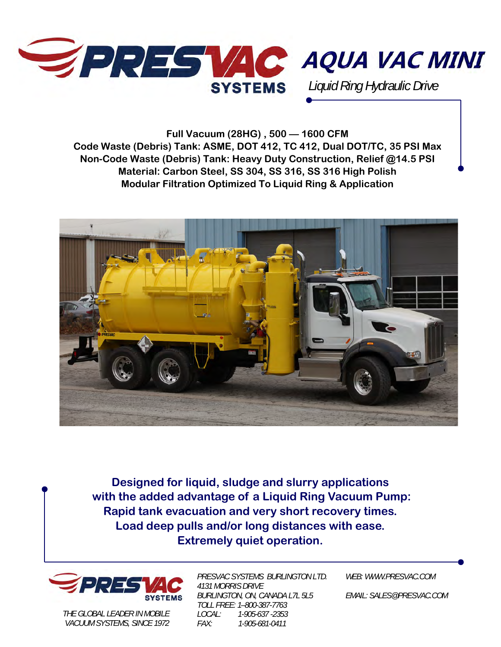

**Full Vacuum (28HG) , 500 — 1600 CFM Code Waste (Debris) Tank: ASME, DOT 412, TC 412, Dual DOT/TC, 35 PSI Max Non-Code Waste (Debris) Tank: Heavy Duty Construction, Relief @14.5 PSI Material: Carbon Steel, SS 304, SS 316, SS 316 High Polish Modular Filtration Optimized To Liquid Ring & Application** 



**Designed for liquid, sludge and slurry applications with the added advantage of a Liquid Ring Vacuum Pump: Rapid tank evacuation and very short recovery times. Load deep pulls and/or long distances with ease. Extremely quiet operation.** 



*THE GLOBAL LEADER IN MOBILE VACUUM SYSTEMS, SINCE 1972*  *PRESVAC SYSTEMS BURLINGTON LTD. 4131 MORRIS DRIVE BURLINGTON, ON, CANADA L7L 5L5 TOLL FREE: 1–800-387-7763 LOCAL: 1-905-637 -2353 FAX: 1-905-681-0411* 

*WEB: WWW.PRESVAC.COM* 

*EMAIL: SALES@PRESVAC.COM*